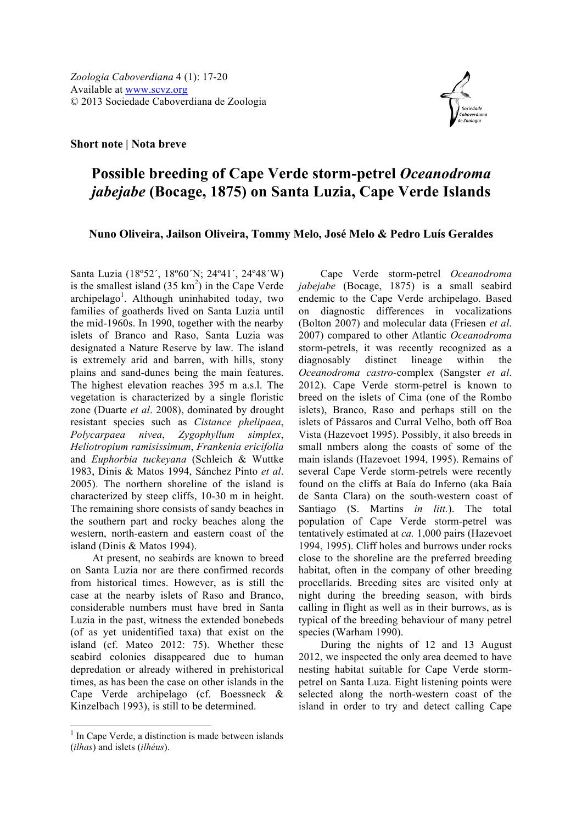

## **Possible breeding of Cape Verde storm-petrel** *Oceanodroma jabejabe* **(Bocage, 1875) on Santa Luzia, Cape Verde Islands**

## **Nuno Oliveira, Jailson Oliveira, Tommy Melo, José Melo & Pedro Luís Geraldes**

Santa Luzia (18º52´, 18º60´N; 24º41´, 24º48´W) is the smallest island  $(35 \text{ km}^2)$  in the Cape Verde archipelago<sup>1</sup>. Although uninhabited today, two families of goatherds lived on Santa Luzia until the mid-1960s. In 1990, together with the nearby islets of Branco and Raso, Santa Luzia was designated a Nature Reserve by law. The island is extremely arid and barren, with hills, stony plains and sand-dunes being the main features. The highest elevation reaches 395 m a.s.l. The vegetation is characterized by a single floristic zone (Duarte *et al*. 2008), dominated by drought resistant species such as *Cistance phelipaea*, *Polycarpaea nivea*, *Zygophyllum simplex*, *Heliotropium ramisissimum*, *Frankenia ericifolia* and *Euphorbia tuckeyana* (Schleich & Wuttke 1983, Dinis & Matos 1994, Sánchez Pinto *et al*. 2005). The northern shoreline of the island is characterized by steep cliffs, 10-30 m in height. The remaining shore consists of sandy beaches in the southern part and rocky beaches along the western, north-eastern and eastern coast of the island (Dinis & Matos 1994).

At present, no seabirds are known to breed on Santa Luzia nor are there confirmed records from historical times. However, as is still the case at the nearby islets of Raso and Branco, considerable numbers must have bred in Santa Luzia in the past, witness the extended bonebeds (of as yet unidentified taxa) that exist on the island (cf. Mateo 2012: 75). Whether these seabird colonies disappeared due to human depredation or already withered in prehistorical times, as has been the case on other islands in the Cape Verde archipelago (cf. Boessneck & Kinzelbach 1993), is still to be determined.

Cape Verde storm-petrel *Oceanodroma jabejabe* (Bocage, 1875) is a small seabird endemic to the Cape Verde archipelago. Based on diagnostic differences in vocalizations (Bolton 2007) and molecular data (Friesen *et al*. 2007) compared to other Atlantic *Oceanodroma*  storm-petrels, it was recently recognized as a diagnosably distinct lineage within the *Oceanodroma castro-*complex (Sangster *et al*. 2012). Cape Verde storm-petrel is known to breed on the islets of Cima (one of the Rombo islets), Branco, Raso and perhaps still on the islets of Pássaros and Curral Velho, both off Boa Vista (Hazevoet 1995). Possibly, it also breeds in small nmbers along the coasts of some of the main islands (Hazevoet 1994, 1995). Remains of several Cape Verde storm-petrels were recently found on the cliffs at Baía do Inferno (aka Baía de Santa Clara) on the south-western coast of Santiago (S. Martins *in litt.*). The total population of Cape Verde storm-petrel was tentatively estimated at *ca.* 1,000 pairs (Hazevoet 1994, 1995). Cliff holes and burrows under rocks close to the shoreline are the preferred breeding habitat, often in the company of other breeding procellarids. Breeding sites are visited only at night during the breeding season, with birds calling in flight as well as in their burrows, as is typical of the breeding behaviour of many petrel species (Warham 1990).

During the nights of 12 and 13 August 2012, we inspected the only area deemed to have nesting habitat suitable for Cape Verde stormpetrel on Santa Luza. Eight listening points were selected along the north-western coast of the island in order to try and detect calling Cape

 $<sup>1</sup>$  In Cape Verde, a distinction is made between islands</sup> (*ilhas*) and islets (*ilhéus*).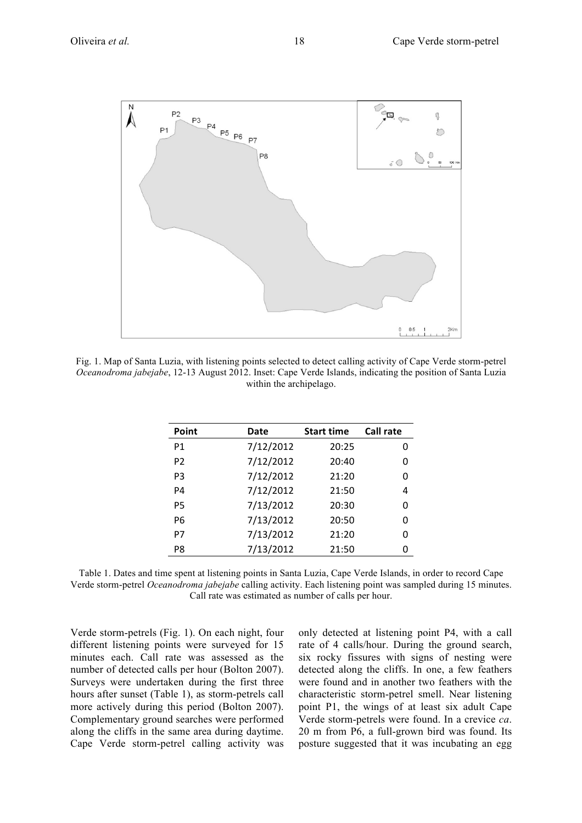

Fig. 1. Map of Santa Luzia, with listening points selected to detect calling activity of Cape Verde storm-petrel *Oceanodroma jabejabe*, 12-13 August 2012. Inset: Cape Verde Islands, indicating the position of Santa Luzia within the archipelago.

| Point          | Date      | <b>Start time</b> | <b>Call rate</b> |
|----------------|-----------|-------------------|------------------|
| P1             | 7/12/2012 | 20:25             | n                |
| P <sub>2</sub> | 7/12/2012 | 20:40             | O                |
| P <sub>3</sub> | 7/12/2012 | 21:20             | O                |
| P4             | 7/12/2012 | 21:50             | 4                |
| P5             | 7/13/2012 | 20:30             | U                |
| P6             | 7/13/2012 | 20:50             | n                |
| P7             | 7/13/2012 | 21:20             | ი                |
| P8             | 7/13/2012 | 21:50             | n                |
|                |           |                   |                  |

Table 1. Dates and time spent at listening points in Santa Luzia, Cape Verde Islands, in order to record Cape Verde storm-petrel *Oceanodroma jabejabe* calling activity. Each listening point was sampled during 15 minutes. Call rate was estimated as number of calls per hour.

Verde storm-petrels (Fig. 1). On each night, four different listening points were surveyed for 15 minutes each. Call rate was assessed as the number of detected calls per hour (Bolton 2007). Surveys were undertaken during the first three hours after sunset (Table 1), as storm-petrels call more actively during this period (Bolton 2007). Complementary ground searches were performed along the cliffs in the same area during daytime. Cape Verde storm-petrel calling activity was only detected at listening point P4, with a call rate of 4 calls/hour. During the ground search, six rocky fissures with signs of nesting were detected along the cliffs. In one, a few feathers were found and in another two feathers with the characteristic storm-petrel smell. Near listening point P1, the wings of at least six adult Cape Verde storm-petrels were found. In a crevice *ca*. 20 m from P6, a full-grown bird was found. Its posture suggested that it was incubating an egg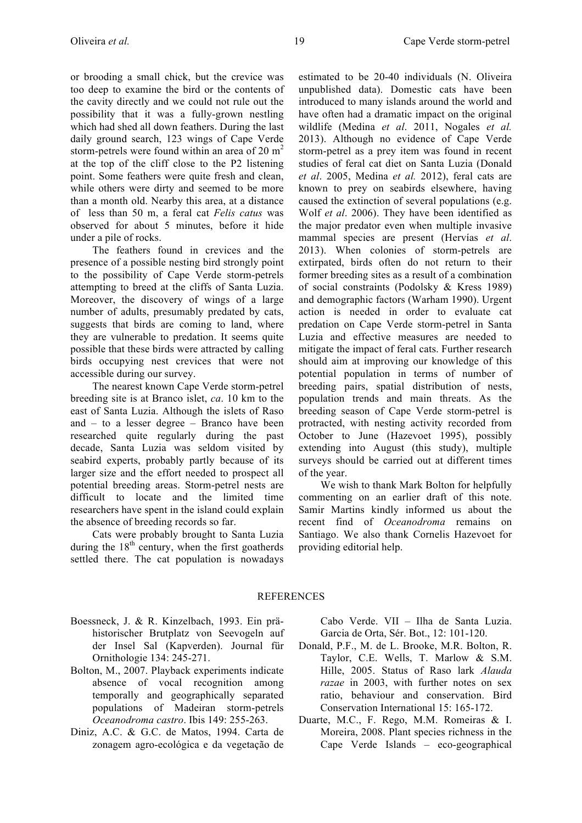or brooding a small chick, but the crevice was too deep to examine the bird or the contents of the cavity directly and we could not rule out the possibility that it was a fully-grown nestling which had shed all down feathers. During the last daily ground search, 123 wings of Cape Verde storm-petrels were found within an area of 20 m<sup>2</sup> at the top of the cliff close to the P2 listening point. Some feathers were quite fresh and clean, while others were dirty and seemed to be more than a month old. Nearby this area, at a distance of less than 50 m, a feral cat *Felis catus* was observed for about 5 minutes, before it hide under a pile of rocks.

The feathers found in crevices and the presence of a possible nesting bird strongly point to the possibility of Cape Verde storm-petrels attempting to breed at the cliffs of Santa Luzia. Moreover, the discovery of wings of a large number of adults, presumably predated by cats, suggests that birds are coming to land, where they are vulnerable to predation. It seems quite possible that these birds were attracted by calling birds occupying nest crevices that were not accessible during our survey.

The nearest known Cape Verde storm-petrel breeding site is at Branco islet, *ca*. 10 km to the east of Santa Luzia. Although the islets of Raso and – to a lesser degree – Branco have been researched quite regularly during the past decade, Santa Luzia was seldom visited by seabird experts, probably partly because of its larger size and the effort needed to prospect all potential breeding areas. Storm-petrel nests are difficult to locate and the limited time researchers have spent in the island could explain the absence of breeding records so far.

Cats were probably brought to Santa Luzia during the  $18<sup>th</sup>$  century, when the first goatherds settled there. The cat population is nowadays estimated to be 20-40 individuals (N. Oliveira unpublished data). Domestic cats have been introduced to many islands around the world and have often had a dramatic impact on the original wildlife (Medina *et al*. 2011, Nogales *et al.*  2013). Although no evidence of Cape Verde storm-petrel as a prey item was found in recent studies of feral cat diet on Santa Luzia (Donald *et al*. 2005, Medina *et al.* 2012), feral cats are known to prey on seabirds elsewhere, having caused the extinction of several populations (e.g. Wolf *et al*. 2006). They have been identified as the major predator even when multiple invasive mammal species are present (Hervías *et al*. 2013). When colonies of storm-petrels are extirpated, birds often do not return to their former breeding sites as a result of a combination of social constraints (Podolsky & Kress 1989) and demographic factors (Warham 1990). Urgent action is needed in order to evaluate cat predation on Cape Verde storm-petrel in Santa Luzia and effective measures are needed to mitigate the impact of feral cats. Further research should aim at improving our knowledge of this potential population in terms of number of breeding pairs, spatial distribution of nests, population trends and main threats. As the breeding season of Cape Verde storm-petrel is protracted, with nesting activity recorded from October to June (Hazevoet 1995), possibly extending into August (this study), multiple surveys should be carried out at different times of the year.

We wish to thank Mark Bolton for helpfully commenting on an earlier draft of this note. Samir Martins kindly informed us about the recent find of *Oceanodroma* remains on Santiago. We also thank Cornelis Hazevoet for providing editorial help.

## **REFERENCES**

- Boessneck, J. & R. Kinzelbach, 1993. Ein prähistorischer Brutplatz von Seevogeln auf der Insel Sal (Kapverden). Journal für Ornithologie 134: 245-271.
- Bolton, M., 2007. Playback experiments indicate absence of vocal recognition among temporally and geographically separated populations of Madeiran storm-petrels *Oceanodroma castro*. Ibis 149: 255-263.
- Diniz, A.C. & G.C. de Matos, 1994. Carta de zonagem agro-ecológica e da vegetação de

Cabo Verde. VII – Ilha de Santa Luzia. Garcia de Orta, Sér. Bot., 12: 101-120.

- Donald, P.F., M. de L. Brooke, M.R. Bolton, R. Taylor, C.E. Wells, T. Marlow & S.M. Hille, 2005. Status of Raso lark *Alauda razae* in 2003, with further notes on sex ratio, behaviour and conservation. Bird Conservation International 15: 165-172.
- Duarte, M.C., F. Rego, M.M. Romeiras & I. Moreira, 2008. Plant species richness in the Cape Verde Islands – eco-geographical